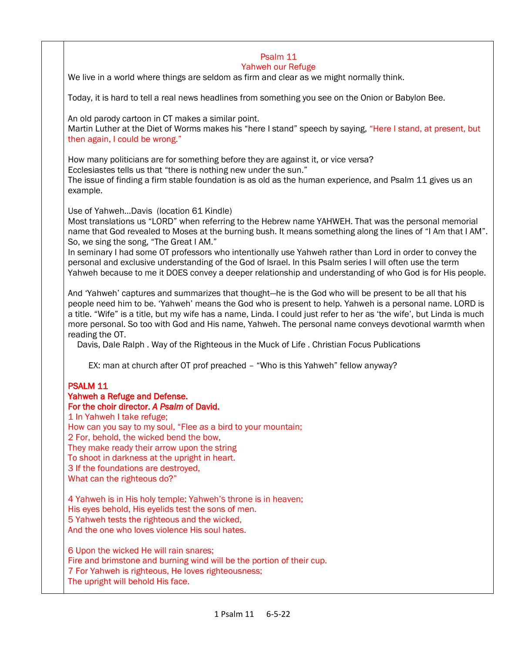#### Psalm 11 Yahweh our Refuge

We live in a world where things are seldom as firm and clear as we might normally think.

Today, it is hard to tell a real news headlines from something you see on the Onion or Babylon Bee.

An old parody cartoon in CT makes a similar point.

Martin Luther at the Diet of Worms makes his "here I stand" speech by saying, "Here I stand, at present, but then again, I could be wrong."

How many politicians are for something before they are against it, or vice versa?

Ecclesiastes tells us that "there is nothing new under the sun."

The issue of finding a firm stable foundation is as old as the human experience, and Psalm 11 gives us an example.

Use of Yahweh…Davis (location 61 Kindle)

Most translations us "LORD" when referring to the Hebrew name YAHWEH. That was the personal memorial name that God revealed to Moses at the burning bush. It means something along the lines of "I Am that I AM". So, we sing the song, "The Great I AM."

In seminary I had some OT professors who intentionally use Yahweh rather than Lord in order to convey the personal and exclusive understanding of the God of Israel. In this Psalm series I will often use the term Yahweh because to me it DOES convey a deeper relationship and understanding of who God is for His people.

And 'Yahweh' captures and summarizes that thought—he is the God who will be present to be all that his people need him to be. 'Yahweh' means the God who is present to help. Yahweh is a personal name. LORD is a title. "Wife" is a title, but my wife has a name, Linda. I could just refer to her as 'the wife', but Linda is much more personal. So too with God and His name, Yahweh. The personal name conveys devotional warmth when reading the OT.

Davis, Dale Ralph . Way of the Righteous in the Muck of Life . Christian Focus Publications

EX: man at church after OT prof preached – "Who is this Yahweh" fellow anyway?

# PSALM 11

- Yahweh a Refuge and Defense.
- For the choir director. *A Psalm* of David.

1 In Yahweh I take refuge;

How can you say to my soul, "Flee *as* a bird to your mountain;

2 For, behold, the wicked bend the bow,

They make ready their arrow upon the string

To shoot in darkness at the upright in heart.

3 If the foundations are destroyed,

What can the righteous do?"

4 Yahweh is in His holy temple; Yahweh'S throne is in heaven; His eyes behold, His eyelids test the sons of men. 5 Yahweh tests the righteous and the wicked, And the one who loves violence His soul hates.

6 Upon the wicked He will rain snares; Fire and brimstone and burning wind will be the portion of their cup. 7 For Yahweh is righteous, He loves righteousness; The upright will behold His face.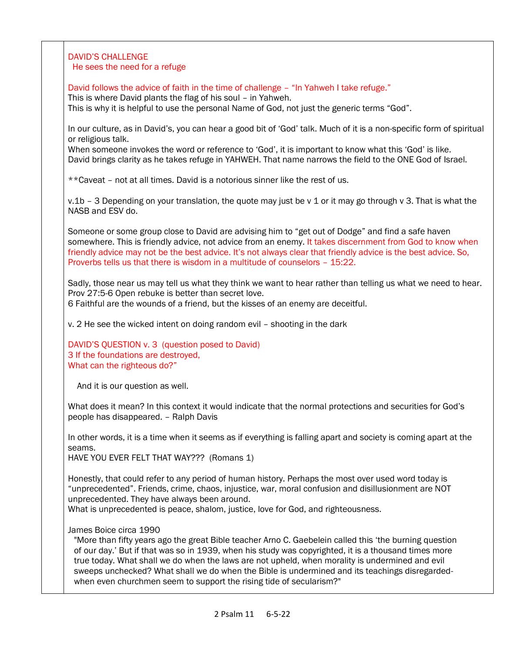### DAVID'S CHALLENGE He sees the need for a refuge

David follows the advice of faith in the time of challenge – "In Yahweh I take refuge."

This is where David plants the flag of his soul – in Yahweh.

This is why it is helpful to use the personal Name of God, not just the generic terms "God".

In our culture, as in David's, you can hear a good bit of 'God' talk. Much of it is a non-specific form of spiritual or religious talk.

When someone invokes the word or reference to 'God', it is important to know what this 'God' is like. David brings clarity as he takes refuge in YAHWEH. That name narrows the field to the ONE God of Israel.

\*\*Caveat – not at all times. David is a notorious sinner like the rest of us.

v.1b – 3 Depending on your translation, the quote may just be v 1 or it may go through v 3. That is what the NASB and ESV do.

Someone or some group close to David are advising him to "get out of Dodge" and find a safe haven somewhere. This is friendly advice, not advice from an enemy. It takes discernment from God to know when friendly advice may not be the best advice. It's not always clear that friendly advice is the best advice. So, Proverbs tells us that there is wisdom in a multitude of counselors – 15:22.

Sadly, those near us may tell us what they think we want to hear rather than telling us what we need to hear. Prov 27:5-6 Open rebuke is better than secret love.

6 Faithful are the wounds of a friend, but the kisses of an enemy are deceitful.

v. 2 He see the wicked intent on doing random evil – shooting in the dark

DAVID'S QUESTION v. 3 (question posed to David) 3 If the foundations are destroyed, What can the righteous do?"

And it is our question as well.

What does it mean? In this context it would indicate that the normal protections and securities for God's people has disappeared. – Ralph Davis

In other words, it is a time when it seems as if everything is falling apart and society is coming apart at the seams.

HAVE YOU EVER FELT THAT WAY??? (Romans 1)

Honestly, that could refer to any period of human history. Perhaps the most over used word today is "unprecedented". Friends, crime, chaos, injustice, war, moral confusion and disillusionment are NOT unprecedented. They have always been around.

What is unprecedented is peace, shalom, justice, love for God, and righteousness.

### James Boice circa 1990

"More than fifty years ago the great Bible teacher Arno C. Gaebelein called this 'the burning question of our day.' But if that was so in 1939, when his study was copyrighted, it is a thousand times more true today. What shall we do when the laws are not upheld, when morality is undermined and evil sweeps unchecked? What shall we do when the Bible is undermined and its teachings disregardedwhen even churchmen seem to support the rising tide of secularism?"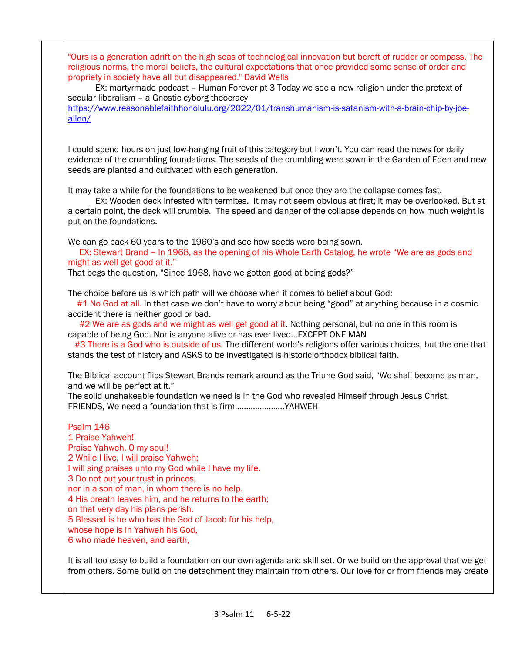"Ours is a generation adrift on the high seas of technological innovation but bereft of rudder or compass. The religious norms, the moral beliefs, the cultural expectations that once provided some sense of order and propriety in society have all but disappeared." David Wells

 EX: martyrmade podcast – Human Forever pt 3 Today we see a new religion under the pretext of secular liberalism – a Gnostic cyborg theocracy

[https://www.reasonablefaithhonolulu.org/2022/01/transhumanism-is-satanism-with-a-brain-chip-by-joe](https://www.reasonablefaithhonolulu.org/2022/01/transhumanism-is-satanism-with-a-brain-chip-by-joe-allen/)[allen/](https://www.reasonablefaithhonolulu.org/2022/01/transhumanism-is-satanism-with-a-brain-chip-by-joe-allen/)

I could spend hours on just low-hanging fruit of this category but I won't. You can read the news for daily evidence of the crumbling foundations. The seeds of the crumbling were sown in the Garden of Eden and new seeds are planted and cultivated with each generation.

It may take a while for the foundations to be weakened but once they are the collapse comes fast.

 EX: Wooden deck infested with termites. It may not seem obvious at first; it may be overlooked. But at a certain point, the deck will crumble. The speed and danger of the collapse depends on how much weight is put on the foundations.

We can go back 60 years to the 1960's and see how seeds were being sown.

 EX: Stewart Brand – In 1968, as the opening of his Whole Earth Catalog, he wrote "We are as gods and might as well get good at it."

That begs the question, "Since 1968, have we gotten good at being gods?"

The choice before us is which path will we choose when it comes to belief about God:

 #1 No God at all. In that case we don't have to worry about being "good" at anything because in a cosmic accident there is neither good or bad.

#2 We are as gods and we might as well get good at it. Nothing personal, but no one in this room is capable of being God. Nor is anyone alive or has ever lived…EXCEPT ONE MAN

#3 There is a God who is outside of us. The different world's religions offer various choices, but the one that stands the test of history and ASKS to be investigated is historic orthodox biblical faith.

The Biblical account flips Stewart Brands remark around as the Triune God said, "We shall become as man, and we will be perfect at it."

The solid unshakeable foundation we need is in the God who revealed Himself through Jesus Christ. FRIENDS, We need a foundation that is firm………………….YAHWEH

Psalm 146 1 Praise Yahweh! Praise Yahweh, O my soul! 2 While I live, I will praise Yahweh; I will sing praises unto my God while I have my life. 3 Do not put your trust in princes, nor in a son of man, in whom there is no help. 4 His breath leaves him, and he returns to the earth; on that very day his plans perish. 5 Blessed is he who has the God of Jacob for his help, whose hope is in Yahweh his God, 6 who made heaven, and earth,

It is all too easy to build a foundation on our own agenda and skill set. Or we build on the approval that we get from others. Some build on the detachment they maintain from others. Our love for or from friends may create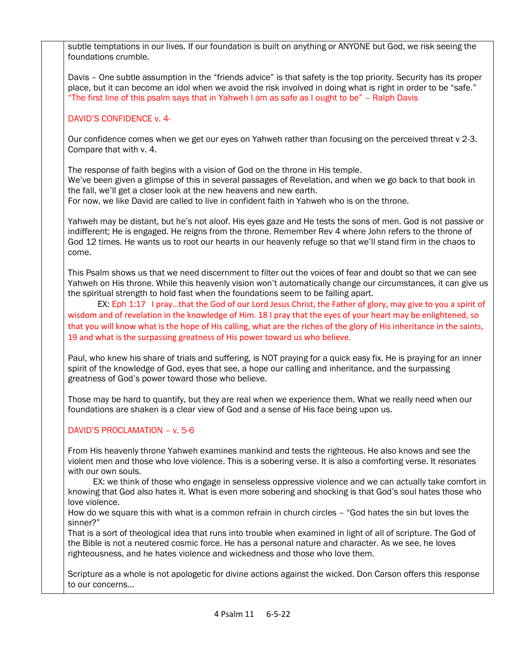subtle temptations in our lives. If our foundation is built on anything or ANYONE but God, we risk seeing the foundations crumble.

Davis – One subtle assumption in the "friends advice" is that safety is the top priority. Security has its proper place, but it can become an idol when we avoid the risk involved in doing what is right in order to be "safe." "The first line of this psalm says that in Yahweh I am as safe as I ought to be" – Ralph Davis

### DAVID'S CONFIDENCE v. 4-

Our confidence comes when we get our eyes on Yahweh rather than focusing on the perceived threat v 2-3. Compare that with v. 4.

The response of faith begins with a vision of God on the throne in His temple. We've been given a glimpse of this in several passages of Revelation, and when we go back to that book in the fall, we'll get a closer look at the new heavens and new earth.

For now, we like David are called to live in confident faith in Yahweh who is on the throne.

Yahweh may be distant, but he's not aloof. His eyes gaze and He tests the sons of men. God is not passive or indifferent; He is engaged. He reigns from the throne. Remember Rev 4 where John refers to the throne of God 12 times. He wants us to root our hearts in our heavenly refuge so that we'll stand firm in the chaos to come.

This Psalm shows us that we need discernment to filter out the voices of fear and doubt so that we can see Yahweh on His throne. While this heavenly vision won't automatically change our circumstances, it can give us the spiritual strength to hold fast when the foundations seem to be falling apart.

EX: Eph 1:17 I pray...that the God of our Lord Jesus Christ, the Father of glory, may give to you a spirit of wisdom and of revelation in the knowledge of Him. 18 I pray that the eyes of your heart may be enlightened, so that you will know what is the hope of His calling, what are the riches of the glory of His inheritance in the saints, 19 and what is the surpassing greatness of His power toward us who believe.

Paul, who knew his share of trials and suffering, is NOT praying for a quick easy fix. He is praying for an inner spirit of the knowledge of God, eyes that see, a hope our calling and inheritance, and the surpassing greatness of God's power toward those who believe.

Those may be hard to quantify, but they are real when we experience them. What we really need when our foundations are shaken is a clear view of God and a sense of His face being upon us.

# DAVID'S PROCLAMATION – v. 5-6

From His heavenly throne Yahweh examines mankind and tests the righteous. He also knows and see the violent men and those who love violence. This is a sobering verse. It is also a comforting verse. It resonates with our own souls.

 EX: we think of those who engage in senseless oppressive violence and we can actually take comfort in knowing that God also hates it. What is even more sobering and shocking is that God's soul hates those who love violence.

How do we square this with what is a common refrain in church circles – "God hates the sin but loves the sinner?"

That is a sort of theological idea that runs into trouble when examined in light of all of scripture. The God of the Bible is not a neutered cosmic force. He has a personal nature and character. As we see, he loves righteousness, and he hates violence and wickedness and those who love them.

Scripture as a whole is not apologetic for divine actions against the wicked. Don Carson offers this response to our concerns…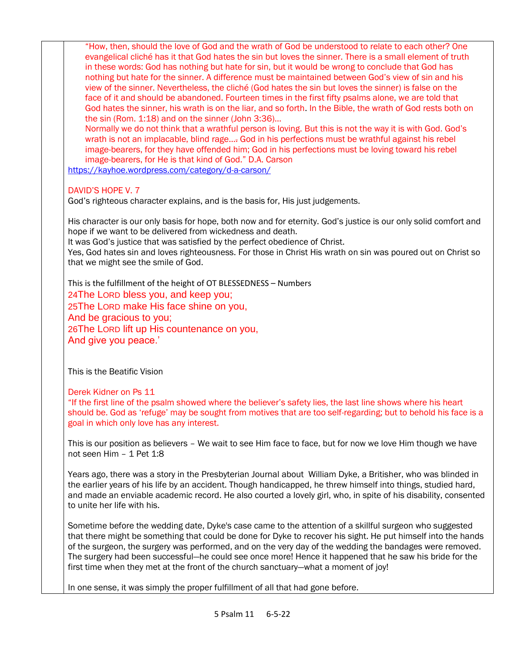"How, then, should the love of God and the wrath of God be understood to relate to each other? One evangelical cliché has it that God hates the sin but loves the sinner. There is a small element of truth in these words: God has nothing but hate for sin, but it would be wrong to conclude that God has nothing but hate for the sinner. A difference must be maintained between God's view of sin and his view of the sinner. Nevertheless, the cliché (God hates the sin but loves the sinner) is false on the face of it and should be abandoned. Fourteen times in the first fifty psalms alone, we are told that God hates the sinner, his wrath is on the liar, and so forth. In the Bible, the wrath of God rests both on the sin (Rom. 1:18) and on the sinner (John 3:36)...

Normally we do not think that a wrathful person is loving. But this is not the way it is with God. God's wrath is not an implacable, blind rage…. God in his perfections must be wrathful against his rebel image-bearers, for they have offended him; God in his perfections must be loving toward his rebel image-bearers, for He is that kind of God." D.A. Carson

<https://kayhoe.wordpress.com/category/d-a-carson/>

# DAVID'S HOPE V. 7

God's righteous character explains, and is the basis for, His just judgements.

His character is our only basis for hope, both now and for eternity. God's justice is our only solid comfort and hope if we want to be delivered from wickedness and death.

It was God's justice that was satisfied by the perfect obedience of Christ.

Yes, God hates sin and loves righteousness. For those in Christ His wrath on sin was poured out on Christ so that we might see the smile of God.

This is the fulfillment of the height of OT BLESSEDNESS – Numbers 24The LORD bless you, and keep you; 25The LORD make His face shine on you, And be gracious to you; 26The LORD lift up His countenance on you, And give you peace.'

This is the Beatific Vision

Derek Kidner on Ps 11

"If the first line of the psalm showed where the believer's safety lies, the last line shows where his heart should be. God as 'refuge' may be sought from motives that are too self-regarding; but to behold his face is a goal in which only love has any interest.

This is our position as believers – We wait to see Him face to face, but for now we love Him though we have not seen Him – 1 Pet 1:8

Years ago, there was a story in the Presbyterian Journal about William Dyke, a Britisher, who was blinded in the earlier years of his life by an accident. Though handicapped, he threw himself into things, studied hard, and made an enviable academic record. He also courted a lovely girl, who, in spite of his disability, consented to unite her life with his.

Sometime before the wedding date, Dyke's case came to the attention of a skillful surgeon who suggested that there might be something that could be done for Dyke to recover his sight. He put himself into the hands of the surgeon, the surgery was performed, and on the very day of the wedding the bandages were removed. The surgery had been successful—he could see once more! Hence it happened that he saw his bride for the first time when they met at the front of the church sanctuary—what a moment of joy!

In one sense, it was simply the proper fulfillment of all that had gone before.